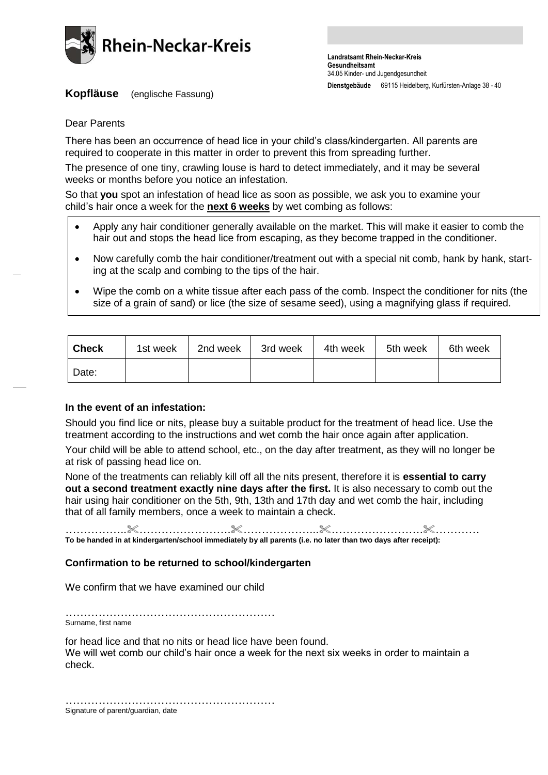

**Kopfläuse** (englische Fassung)

Dear Parents

There has been an occurrence of head lice in your child's class/kindergarten. All parents are required to cooperate in this matter in order to prevent this from spreading further.

The presence of one tiny, crawling louse is hard to detect immediately, and it may be several weeks or months before you notice an infestation.

So that **you** spot an infestation of head lice as soon as possible, we ask you to examine your child's hair once a week for the **next 6 weeks** by wet combing as follows:

- Apply any hair conditioner generally available on the market. This will make it easier to comb the hair out and stops the head lice from escaping, as they become trapped in the conditioner.
- Now carefully comb the hair conditioner/treatment out with a special nit comb, hank by hank, starting at the scalp and combing to the tips of the hair.
- Wipe the comb on a white tissue after each pass of the comb. Inspect the conditioner for nits (the size of a grain of sand) or lice (the size of sesame seed), using a magnifying glass if required.

| <b>Check</b> | 1st week | 2nd week | 3rd week | 4th week | 5th week | 6th week |
|--------------|----------|----------|----------|----------|----------|----------|
| Date:        |          |          |          |          |          |          |

### **In the event of an infestation:**

Should you find lice or nits, please buy a suitable product for the treatment of head lice. Use the treatment according to the instructions and wet comb the hair once again after application.

Your child will be able to attend school, etc., on the day after treatment, as they will no longer be at risk of passing head lice on.

None of the treatments can reliably kill off all the nits present, therefore it is **essential to carry out a second treatment exactly nine days after the first.** It is also necessary to comb out the hair using hair conditioner on the 5th, 9th, 13th and 17th day and wet comb the hair, including that of all family members, once a week to maintain a check.

……………..…………………….………………...…………………….………… **To be handed in at kindergarten/school immediately by all parents (i.e. no later than two days after receipt):**

# **Confirmation to be returned to school/kindergarten**

We confirm that we have examined our child

………………………………………………… Surname, first name

for head lice and that no nits or head lice have been found. We will wet comb our child's hair once a week for the next six weeks in order to maintain a check.

…………………………………………………………… Signature of parent/guardian, date